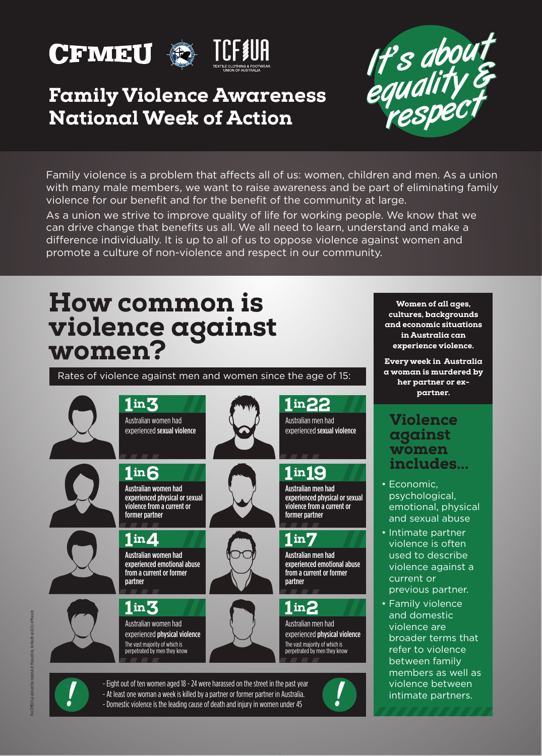



### Family Violence Awareness National Week of Action



Family violence is a problem that affects all of us: women, children and men. As a union with many male members, we want to raise awareness and be part of eliminating family violence for our benefit and for the benefit of the community at large.

As a union we strive to improve quality of life for working people. We know that we can drive change that benefits us all. We all need to learn, understand and make a difference individually. It is up to all of us to oppose violence against women and promote a culture of non-violence and respect in our community.

# How common is violence against women?

1 in 3

1 in  $\boldsymbol{A}$ 

former partner

1in **6** 

partner

 $1$  in  $3$ 

Australian women had experienced emotional abuse from a current or former

Australian women had experienced physical violence The vast majority of which is perpetrated by men they know

Australian women had

Rates of violence against men and women since the age of 15:







1in 19 Australian men had

1 in 22 Australian men had experienced sexual violence

experienced physical or sexual violence from a current or former partner

#### $1<sub>in</sub>7$

Australian men had experienced emotional abuse from a current or former partner

#### $1$  in  $2$

Australian men had experienced physical violence The vast majority of which is perpetrated by men they know

!<br>!

Women of all ages, cultures, backgrounds and economic situations in Australia can experience violence.

Every week in Australia a woman is murdered by her partner or expartner.

#### Violence against women includes...

- Economic, psychological, emotional, physical and sexual abuse
- Intimate partner violence is often used to describe violence against a current or previous partner.
- Family violence and domestic violence are broader terms that refer to violence between family members as well as violence between intimate partners.



- Eight out of ten women aged 18 - 24 were harassed on the street in the past year - At least one woman a week is killed by a partner or former partner in Australia. - Domestic violence is the leading cause of death and injury in women under 45